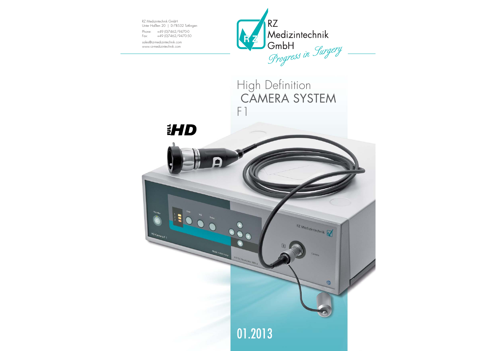RZ Medizintechnik GmbH Unter Haßlen 20 | D-78532 Tuttlingen

**FULL** 

Phone: +49 (0)7462/9470-0 Fax: +49 (0)7462/9470-50

sales@rz-medizintechnik.com www.rz-medizintechnik.com

HD-Camera F 1



High Definition CAMERA SYSTEM F1

RZ Medizintechnik

 $\bullet$ 



...

HD Full Resolution 1080 p

Made in Germany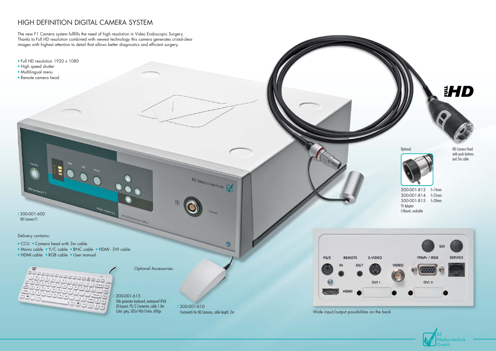## HIGH DEFINITION DIGITAL CAMERA SYSTEM

Wide input/output possibilities on the back

The new F1 Camera system fullfills the need of high resolution in Video Endoscopic Surgery. Thanks to Full HD resolution combined with newest technology this camera generates cristal-clear images with highest attention to detail that allows better diagnostics and efficient surgery.

- Full HD resolution 1920 x 1080
- High speed shutter
- Multilingual menu
- Remote camera head

I 300-001-600

HD Camera F1

HD-Camera F 1

TV Adapter C-Mount, soakable



I 300-001-610 Footswitch for HD Cameras, cable length: 2m

RZ Medizintechnik

 $\circledcirc$ 



Optional Accessories:

 $\sqrt{\lambda}$ 

Delivery contains:



**SDI** YPbPr / RGB **SERVICE VIDEO** DVI I DVI II

- CCU Camera head with 3m cable
- Mains cable Y/C cable BNC cable HDMI DVI cable
- HDMI cable RGB cable User manual



I 300-001-615 Title generator keyboard, waterproof IP68 US-Layout, PS/2 Connector, cable 1.8m Color: grey, 305x140x15mm, 600gr.